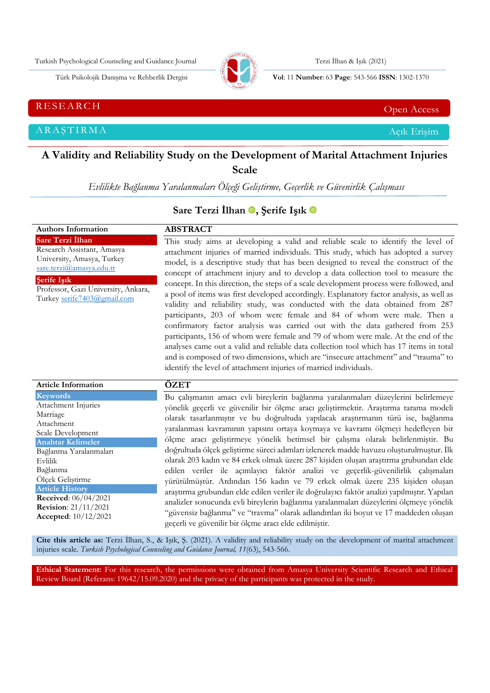Turkish Psychological Counseling and Guidance Journal Terzi İlhan & Işık (2021)



Türk Psikolojik Danışma ve Rehberlik Dergisi **Vol**: 11 **Number**: 63 **Page** : 543-566 **ISSN**: 1302-1370

RESEARCH CHE Open Access and the contract of the contract of the contract of the contract of the contract of the contract of the contract of the contract of the contract of the contract of the contract of the contract of t

ARAŞTIRMA Açık Erişim

# **A Validity and Reliability Study on the Development of Marital Attachment Injuries**

**Scale**

*Evlilikte Bağlanma Yaralanmaları Ölçeği Geliştirme, Geçerlik ve Güvenirlik Çalışması*

# **Sare Terzi İlhan , Şerife Işık**

**Authors Information Sare Terzi İlhan** Research Assistant, Amasya University, Amasya, Turkey [sare.terzi@amasya.edu.tr](mailto:sare.terzi@amasya.edu.tr) **Şerife Işık** Professor, Gazi University, Ankara, Turkey [serife7403@gmail.com](mailto:serife7403@gmail.com) **ABSTRACT** This study aims at developing a valid and reliable scale to identify the level of attachment injuries of married individuals. This study, which has adopted a survey model, is a descriptive study that has been designed to reveal the construct of the concept of attachment injury and to develop a data collection tool to measure the concept. In this direction, the steps of a scale development process were followed, and a pool of items was first developed accordingly. Explanatory factor analysis, as well as validity and reliability study, was conducted with the data obtained from 287 participants, 203 of whom were female and 84 of whom were male. Then a confirmatory factor analysis was carried out with the data gathered from 253 participants, 156 of whom were female and 79 of whom were male. At the end of the analyses came out a valid and reliable data collection tool which has 17 items in total and is composed of two dimensions, which are "insecure attachment" and "trauma" to identify the level of attachment injuries of married individuals.

| <b>Article Information</b>                                   | ÖZET                                                                                        |
|--------------------------------------------------------------|---------------------------------------------------------------------------------------------|
| Keywords                                                     | Bu çalışmanın amacı evli bireylerin bağlanma yaralanmaları düzeylerini belirlemeye          |
| Attachment Injuries                                          | yönelik geçerli ve güvenilir bir ölçme aracı geliştirmektir. Araştırma tarama modeli        |
| Marriage                                                     | olarak tasarlanmıştır ve bu doğrultuda yapılacak araştırmanın türü ise, bağlanma            |
| Attachment                                                   | yaralanması kavramının yapısını ortaya koymaya ve kavramı ölçmeyi hedefleyen bir            |
| Scale Development                                            | ölçme aracı geliştirmeye yönelik betimsel bir çalışma olarak belirlenmiştir. Bu             |
| <b>Anahtar Kelimeler</b>                                     |                                                                                             |
| Bağlanma Yaralanmaları                                       | doğrultuda ölçek geliştirme süreci adımları izlenerek madde havuzu oluşturulmuştur. İlk     |
| Evlilik                                                      | olarak 203 kadın ve 84 erkek olmak üzere 287 kişiden oluşan araştırma grubundan elde        |
| Bağlanma                                                     | edilen veriler ile açımlayıcı faktör analizi ve geçerlik-güvenilirlik çalışmaları           |
| Olçek Geliştirme                                             | yürütülmüştür. Ardından 156 kadın ve 79 erkek olmak üzere 235 kişiden oluşan                |
| <b>Article History</b>                                       | araştırma grubundan elde edilen veriler ile doğrulayıcı faktör analizi yapılmıştır. Yapılan |
| <b>Received:</b> $06/04/2021$                                | analizler sonucunda evli bireylerin bağlanma yaralanmaları düzeylerini ölçmeye yönelik      |
| <b>Revision:</b> 21/11/2021<br><b>Accepted:</b> $10/12/2021$ | "güvensiz bağlanma" ve "travma" olarak adlandırılan iki boyut ve 17 maddeden oluşan         |
|                                                              | geçerli ve güvenilir bir ölçme aracı elde edilmiştir.                                       |

**Cite this article as:** Terzi İlhan, S., & Işık, Ş. (2021). A validity and reliability study on the development of marital attachment injuries scale*. Turkish Psychological Counseling and Guidance Journal, 11*(63), 543-566.

**Ethical Statement:** For this research, the permissions were obtained from Amasya University Scientific Research and Ethical Review Board (Referans: 19642/15.09.2020) and the privacy of the participants was protected in the study.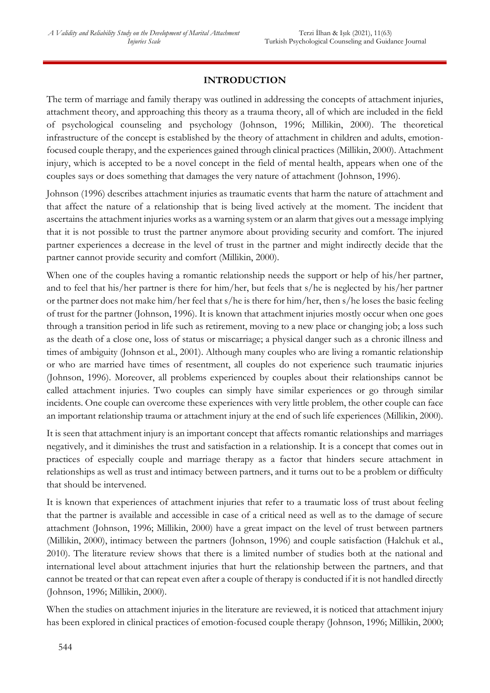# **INTRODUCTION**

The term of marriage and family therapy was outlined in addressing the concepts of attachment injuries, attachment theory, and approaching this theory as a trauma theory, all of which are included in the field of psychological counseling and psychology (Johnson, 1996; Millikin, 2000). The theoretical infrastructure of the concept is established by the theory of attachment in children and adults, emotionfocused couple therapy, and the experiences gained through clinical practices (Millikin, 2000). Attachment injury, which is accepted to be a novel concept in the field of mental health, appears when one of the couples says or does something that damages the very nature of attachment (Johnson, 1996).

Johnson (1996) describes attachment injuries as traumatic events that harm the nature of attachment and that affect the nature of a relationship that is being lived actively at the moment. The incident that ascertains the attachment injuries works as a warning system or an alarm that gives out a message implying that it is not possible to trust the partner anymore about providing security and comfort. The injured partner experiences a decrease in the level of trust in the partner and might indirectly decide that the partner cannot provide security and comfort (Millikin, 2000).

When one of the couples having a romantic relationship needs the support or help of his/her partner, and to feel that his/her partner is there for him/her, but feels that s/he is neglected by his/her partner or the partner does not make him/her feel that s/he is there for him/her, then s/he loses the basic feeling of trust for the partner (Johnson, 1996). It is known that attachment injuries mostly occur when one goes through a transition period in life such as retirement, moving to a new place or changing job; a loss such as the death of a close one, loss of status or miscarriage; a physical danger such as a chronic illness and times of ambiguity (Johnson et al., 2001). Although many couples who are living a romantic relationship or who are married have times of resentment, all couples do not experience such traumatic injuries (Johnson, 1996). Moreover, all problems experienced by couples about their relationships cannot be called attachment injuries. Two couples can simply have similar experiences or go through similar incidents. One couple can overcome these experiences with very little problem, the other couple can face an important relationship trauma or attachment injury at the end of such life experiences (Millikin, 2000).

It is seen that attachment injury is an important concept that affects romantic relationships and marriages negatively, and it diminishes the trust and satisfaction in a relationship. It is a concept that comes out in practices of especially couple and marriage therapy as a factor that hinders secure attachment in relationships as well as trust and intimacy between partners, and it turns out to be a problem or difficulty that should be intervened.

It is known that experiences of attachment injuries that refer to a traumatic loss of trust about feeling that the partner is available and accessible in case of a critical need as well as to the damage of secure attachment (Johnson, 1996; Millikin, 2000) have a great impact on the level of trust between partners (Millikin, 2000), intimacy between the partners (Johnson, 1996) and couple satisfaction (Halchuk et al., 2010). The literature review shows that there is a limited number of studies both at the national and international level about attachment injuries that hurt the relationship between the partners, and that cannot be treated or that can repeat even after a couple of therapy is conducted if it is not handled directly (Johnson, 1996; Millikin, 2000).

When the studies on attachment injuries in the literature are reviewed, it is noticed that attachment injury has been explored in clinical practices of emotion-focused couple therapy (Johnson, 1996; Millikin, 2000;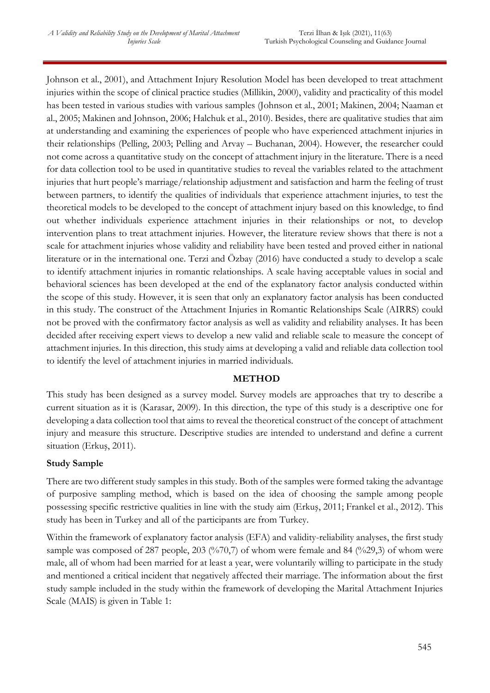Johnson et al., 2001), and Attachment Injury Resolution Model has been developed to treat attachment injuries within the scope of clinical practice studies (Millikin, 2000), validity and practicality of this model has been tested in various studies with various samples (Johnson et al., 2001; Makinen, 2004; Naaman et al., 2005; Makinen and Johnson, 2006; Halchuk et al., 2010). Besides, there are qualitative studies that aim at understanding and examining the experiences of people who have experienced attachment injuries in their relationships (Pelling, 2003; Pelling and Arvay – Buchanan, 2004). However, the researcher could not come across a quantitative study on the concept of attachment injury in the literature. There is a need for data collection tool to be used in quantitative studies to reveal the variables related to the attachment injuries that hurt people's marriage/relationship adjustment and satisfaction and harm the feeling of trust between partners, to identify the qualities of individuals that experience attachment injuries, to test the theoretical models to be developed to the concept of attachment injury based on this knowledge, to find out whether individuals experience attachment injuries in their relationships or not, to develop intervention plans to treat attachment injuries. However, the literature review shows that there is not a scale for attachment injuries whose validity and reliability have been tested and proved either in national literature or in the international one. Terzi and Özbay (2016) have conducted a study to develop a scale to identify attachment injuries in romantic relationships. A scale having acceptable values in social and behavioral sciences has been developed at the end of the explanatory factor analysis conducted within the scope of this study. However, it is seen that only an explanatory factor analysis has been conducted in this study. The construct of the Attachment Injuries in Romantic Relationships Scale (AIRRS) could not be proved with the confirmatory factor analysis as well as validity and reliability analyses. It has been decided after receiving expert views to develop a new valid and reliable scale to measure the concept of attachment injuries. In this direction, this study aims at developing a valid and reliable data collection tool to identify the level of attachment injuries in married individuals.

## **METHOD**

This study has been designed as a survey model. Survey models are approaches that try to describe a current situation as it is (Karasar, 2009). In this direction, the type of this study is a descriptive one for developing a data collection tool that aims to reveal the theoretical construct of the concept of attachment injury and measure this structure. Descriptive studies are intended to understand and define a current situation (Erkuş, 2011).

# **Study Sample**

There are two different study samples in this study. Both of the samples were formed taking the advantage of purposive sampling method, which is based on the idea of choosing the sample among people possessing specific restrictive qualities in line with the study aim (Erkuş, 2011; Frankel et al., 2012). This study has been in Turkey and all of the participants are from Turkey.

Within the framework of explanatory factor analysis (EFA) and validity-reliability analyses, the first study sample was composed of 287 people, 203 (%70,7) of whom were female and 84 (%29,3) of whom were male, all of whom had been married for at least a year, were voluntarily willing to participate in the study and mentioned a critical incident that negatively affected their marriage. The information about the first study sample included in the study within the framework of developing the Marital Attachment Injuries Scale (MAIS) is given in Table 1: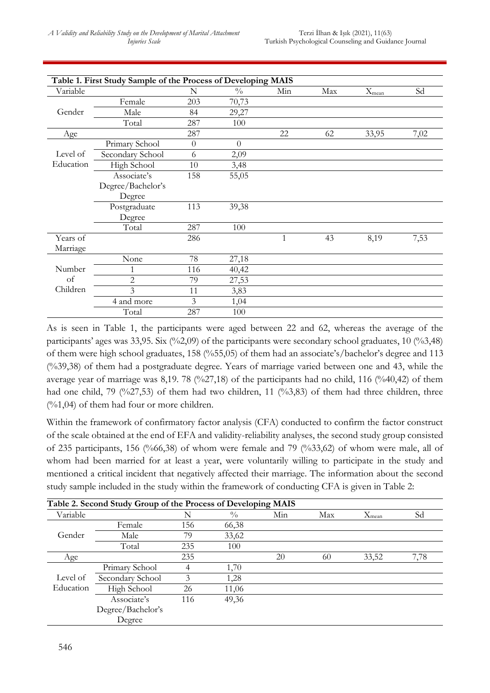|           | Table 1. First Study Sample of the Process of Developing MAIS |          |                |     |     |            |      |
|-----------|---------------------------------------------------------------|----------|----------------|-----|-----|------------|------|
| Variable  |                                                               | N        | $\frac{0}{0}$  | Min | Max | $X_{mean}$ | Sd   |
|           | Female                                                        | 203      | 70,73          |     |     |            |      |
| Gender    | Male                                                          | 84       | 29,27          |     |     |            |      |
|           | Total                                                         | 287      | 100            |     |     |            |      |
| Age       |                                                               | 287      |                | 22  | 62  | 33,95      | 7,02 |
|           | Primary School                                                | $\theta$ | $\overline{0}$ |     |     |            |      |
| Level of  | Secondary School                                              | 6        | 2,09           |     |     |            |      |
| Education | High School                                                   | 10       | 3,48           |     |     |            |      |
|           | Associate's                                                   | 158      | 55,05          |     |     |            |      |
|           | Degree/Bachelor's                                             |          |                |     |     |            |      |
|           | Degree                                                        |          |                |     |     |            |      |
|           | Postgraduate                                                  | 113      | 39,38          |     |     |            |      |
|           | Degree                                                        |          |                |     |     |            |      |
|           | Total                                                         | 287      | 100            |     |     |            |      |
| Years of  |                                                               | 286      |                | 1   | 43  | 8,19       | 7,53 |
| Marriage  |                                                               |          |                |     |     |            |      |
|           | None                                                          | 78       | 27,18          |     |     |            |      |
| Number    | 1                                                             | 116      | 40,42          |     |     |            |      |
| of        | $\overline{c}$                                                | 79       | 27,53          |     |     |            |      |
| Children  | 3                                                             | 11       | 3,83           |     |     |            |      |
|           | 4 and more                                                    | 3        | 1,04           |     |     |            |      |
|           | Total                                                         | 287      | 100            |     |     |            |      |

As is seen in Table 1, the participants were aged between 22 and 62, whereas the average of the participants' ages was 33,95. Six (%2,09) of the participants were secondary school graduates, 10 (%3,48) of them were high school graduates, 158 (%55,05) of them had an associate's/bachelor's degree and 113 (%39,38) of them had a postgraduate degree. Years of marriage varied between one and 43, while the average year of marriage was 8,19. 78 (%27,18) of the participants had no child, 116 (%40,42) of them had one child, 79 (%27,53) of them had two children, 11 (%3,83) of them had three children, three  $(\%1,04)$  of them had four or more children.

Within the framework of confirmatory factor analysis (CFA) conducted to confirm the factor construct of the scale obtained at the end of EFA and validity-reliability analyses, the second study group consisted of 235 participants, 156 (%66,38) of whom were female and 79 (%33,62) of whom were male, all of whom had been married for at least a year, were voluntarily willing to participate in the study and mentioned a critical incident that negatively affected their marriage. The information about the second study sample included in the study within the framework of conducting CFA is given in Table 2:

|           | Table 2. Second Study Group of the Process of Developing MAIS |     |               |     |     |            |      |
|-----------|---------------------------------------------------------------|-----|---------------|-----|-----|------------|------|
| Variable  |                                                               | N   | $\frac{0}{0}$ | Min | Max | $X_{mean}$ | Sd   |
|           | Female                                                        | 156 | 66,38         |     |     |            |      |
| Gender    | Male                                                          | 79  | 33,62         |     |     |            |      |
|           | Total                                                         | 235 | 100           |     |     |            |      |
| Age       |                                                               | 235 |               | 20  | 60  | 33,52      | 7,78 |
|           | Primary School                                                | 4   | 1,70          |     |     |            |      |
| Level of  | Secondary School                                              | 3   | 1,28          |     |     |            |      |
| Education | High School                                                   | 26  | 11,06         |     |     |            |      |
|           | Associate's                                                   | 116 | 49,36         |     |     |            |      |
|           | Degree/Bachelor's                                             |     |               |     |     |            |      |
|           | Degree                                                        |     |               |     |     |            |      |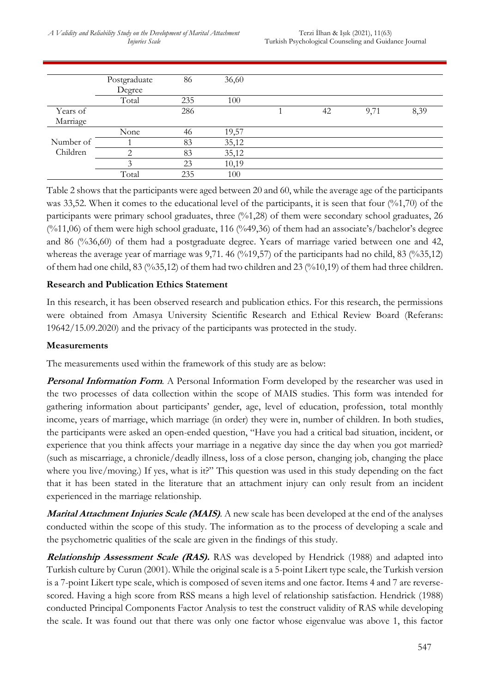*A Validity and Reliability Study on the Development of Marital Attachment Injuries Scale*

|           | Postgraduate  | 86  | 36,60 |    |      |      |
|-----------|---------------|-----|-------|----|------|------|
|           | Degree        |     |       |    |      |      |
|           | Total         | 235 | 100   |    |      |      |
| Years of  |               | 286 |       | 42 | 9,71 | 8,39 |
| Marriage  |               |     |       |    |      |      |
|           | None          | 46  | 19,57 |    |      |      |
| Number of |               | 83  | 35,12 |    |      |      |
| Children  | ◠             | 83  | 35,12 |    |      |      |
|           | $\mathcal{Z}$ | 23  | 10,19 |    |      |      |
|           | Total         | 235 | 100   |    |      |      |

Table 2 shows that the participants were aged between 20 and 60, while the average age of the participants was 33,52. When it comes to the educational level of the participants, it is seen that four (%1,70) of the participants were primary school graduates, three (%1,28) of them were secondary school graduates, 26 (%11,06) of them were high school graduate, 116 (%49,36) of them had an associate's/bachelor's degree and 86 (%36,60) of them had a postgraduate degree. Years of marriage varied between one and 42, whereas the average year of marriage was 9,71. 46 (%19,57) of the participants had no child, 83 (%35,12) of them had one child, 83 (%35,12) of them had two children and 23 (%10,19) of them had three children.

## **Research and Publication Ethics Statement**

In this research, it has been observed research and publication ethics. For this research, the permissions were obtained from Amasya University Scientific Research and Ethical Review Board (Referans: 19642/15.09.2020) and the privacy of the participants was protected in the study.

## **Measurements**

The measurements used within the framework of this study are as below:

**Personal Information Form.** A Personal Information Form developed by the researcher was used in the two processes of data collection within the scope of MAIS studies. This form was intended for gathering information about participants' gender, age, level of education, profession, total monthly income, years of marriage, which marriage (in order) they were in, number of children. In both studies, the participants were asked an open-ended question, "Have you had a critical bad situation, incident, or experience that you think affects your marriage in a negative day since the day when you got married? (such as miscarriage, a chronicle/deadly illness, loss of a close person, changing job, changing the place where you live/moving.) If yes, what is it?" This question was used in this study depending on the fact that it has been stated in the literature that an attachment injury can only result from an incident experienced in the marriage relationship.

**Marital Attachment Injuries Scale (MAIS)**. A new scale has been developed at the end of the analyses conducted within the scope of this study. The information as to the process of developing a scale and the psychometric qualities of the scale are given in the findings of this study.

**Relationship Assessment Scale (RAS).** RAS was developed by Hendrick (1988) and adapted into Turkish culture by Curun (2001). While the original scale is a 5-point Likert type scale, the Turkish version is a 7-point Likert type scale, which is composed of seven items and one factor. Items 4 and 7 are reversescored. Having a high score from RSS means a high level of relationship satisfaction. Hendrick (1988) conducted Principal Components Factor Analysis to test the construct validity of RAS while developing the scale. It was found out that there was only one factor whose eigenvalue was above 1, this factor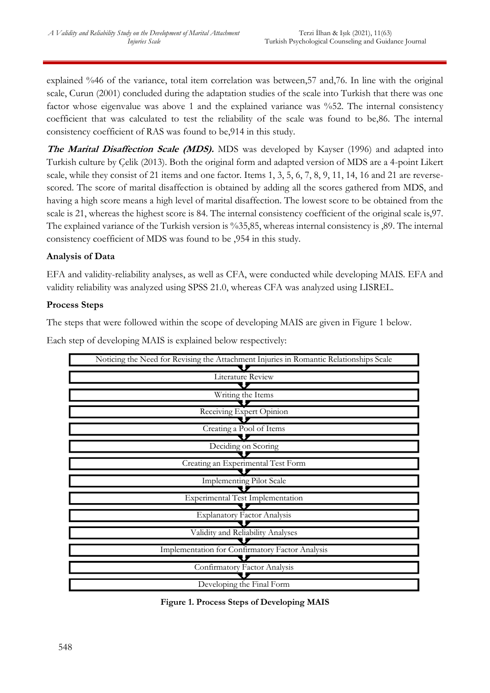explained %46 of the variance, total item correlation was between,57 and,76. In line with the original scale, Curun (2001) concluded during the adaptation studies of the scale into Turkish that there was one factor whose eigenvalue was above 1 and the explained variance was %52. The internal consistency coefficient that was calculated to test the reliability of the scale was found to be,86. The internal consistency coefficient of RAS was found to be,914 in this study.

**The Marital Disaffection Scale (MDS).** MDS was developed by Kayser (1996) and adapted into Turkish culture by Çelik (2013). Both the original form and adapted version of MDS are a 4-point Likert scale, while they consist of 21 items and one factor. Items 1, 3, 5, 6, 7, 8, 9, 11, 14, 16 and 21 are reversescored. The score of marital disaffection is obtained by adding all the scores gathered from MDS, and having a high score means a high level of marital disaffection. The lowest score to be obtained from the scale is 21, whereas the highest score is 84. The internal consistency coefficient of the original scale is,97. The explained variance of the Turkish version is %35,85, whereas internal consistency is ,89. The internal consistency coefficient of MDS was found to be ,954 in this study.

# **Analysis of Data**

EFA and validity-reliability analyses, as well as CFA, were conducted while developing MAIS. EFA and validity reliability was analyzed using SPSS 21.0, whereas CFA was analyzed using LISREL.

## **Process Steps**

The steps that were followed within the scope of developing MAIS are given in Figure 1 below.

Noticing the Need for Revising the Attachment Injuries in Romantic Relationships Scale Literature Review l 5 Writing the Items Receiving Expert Opinion Creating a Pool of Items Deciding on Scoring Creating an Experimental Test Form Implementing Pilot Scale Experimental Test Implementation J Explanatory Factor Analysis łИ Validity and Reliability Analyses U Implementation for Confirmatory Factor Analysis Confirmatory Factor Analysis Developing the Final Form **Figure 1. Process Steps of Developing MAIS**

Each step of developing MAIS is explained below respectively: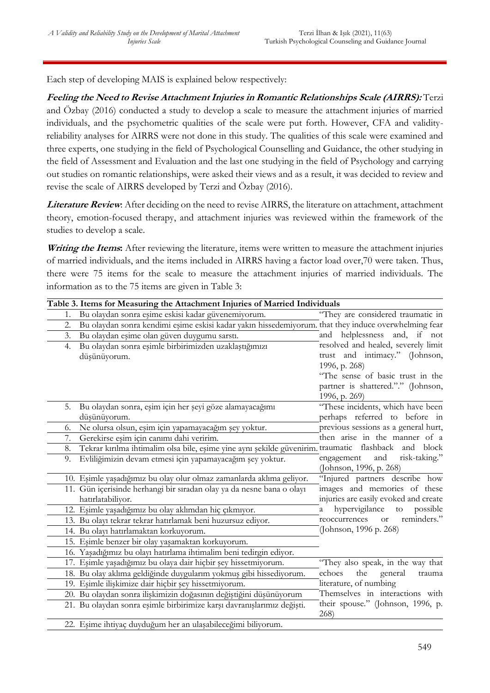Each step of developing MAIS is explained below respectively:

**Feeling the Need to Revise Attachment Injuries in Romantic Relationships Scale (AIRRS):** Terzi and Özbay (2016) conducted a study to develop a scale to measure the attachment injuries of married individuals, and the psychometric qualities of the scale were put forth. However, CFA and validityreliability analyses for AIRRS were not done in this study. The qualities of this scale were examined and three experts, one studying in the field of Psychological Counselling and Guidance, the other studying in the field of Assessment and Evaluation and the last one studying in the field of Psychology and carrying out studies on romantic relationships, were asked their views and as a result, it was decided to review and revise the scale of AIRRS developed by Terzi and Özbay (2016).

**Literature Review**: After deciding on the need to revise AIRRS, the literature on attachment, attachment theory, emotion-focused therapy, and attachment injuries was reviewed within the framework of the studies to develop a scale.

Writing the Items: After reviewing the literature, items were written to measure the attachment injuries of married individuals, and the items included in AIRRS having a factor load over,70 were taken. Thus, there were 75 items for the scale to measure the attachment injuries of married individuals. The information as to the 75 items are given in Table 3:

|    | Table 3. Items for Measuring the Attachment Injuries of Married Individuals                          |                                           |
|----|------------------------------------------------------------------------------------------------------|-------------------------------------------|
| 1. | Bu olaydan sonra eşime eskisi kadar güvenemiyorum.                                                   | "They are considered traumatic in         |
| 2. | Bu olaydan sonra kendimi eşime eskisi kadar yakın hissedemiyorum. that they induce overwhelming fear |                                           |
| 3. | Bu olaydan eşime olan güven duygumu sarstı.                                                          | and helplessness<br>and, if not           |
| 4. | Bu olaydan sonra eşimle birbirimizden uzaklaştığımızı                                                | resolved and healed, severely limit       |
|    | düşünüyorum.                                                                                         | trust and intimacy." (Johnson,            |
|    |                                                                                                      | 1996, p. 268)                             |
|    |                                                                                                      | "The sense of basic trust in the          |
|    |                                                                                                      | partner is shattered."." (Johnson,        |
|    |                                                                                                      | 1996, p. 269)                             |
| 5. | Bu olaydan sonra, eşim için her şeyi göze alamayacağımı                                              | "These incidents, which have been         |
|    | düşünüyorum.                                                                                         | perhaps referred to before in             |
| 6. | Ne olursa olsun, eşim için yapamayacağım şey yoktur.                                                 | previous sessions as a general hurt,      |
| 7. | Gerekirse eşim için canımı dahi veririm.                                                             | then arise in the manner of a             |
| 8. | Tekrar kırılma ihtimalim olsa bile, eşime yine aynı şekilde güvenirim. traumatic flashback and block |                                           |
| 9. | Evliliğimizin devam etmesi için yapamayacağım şey yoktur.                                            | engagement<br>and<br>risk-taking."        |
|    |                                                                                                      | (Johnson, 1996, p. 268)                   |
|    | 10. Eşimle yaşadığımız bu olay olur olmaz zamanlarda aklıma geliyor.                                 | "Injured partners describe how            |
|    | 11. Gün içerisinde herhangi bir sıradan olay ya da nesne bana o olayı                                | images and memories of these              |
|    | hatırlatabiliyor.                                                                                    | injuries are easily evoked and create     |
|    | 12. Eşimle yaşadığımız bu olay aklımdan hiç çıkmıyor.                                                | hypervigilance<br>possible<br>to<br>a     |
|    | 13. Bu olayı tekrar tekrar hatırlamak beni huzursuz ediyor.                                          | reminders."<br>reoccurrences<br><b>or</b> |
|    | 14. Bu olayı hatırlamaktan korkuyorum.                                                               | (Johnson, 1996 p. 268)                    |
|    | 15. Eşimle benzer bir olay yaşamaktan korkuyorum.                                                    |                                           |
|    | 16. Yaşadığımız bu olayı hatırlama ihtimalim beni tedirgin ediyor.                                   |                                           |
|    | 17. Eşimle yaşadığımız bu olaya dair hiçbir şey hissetmiyorum.                                       | "They also speak, in the way that         |
|    | 18. Bu olay aklıma geldiğinde duygularım yokmuş gibi hissediyorum.                                   | the<br>general<br>echoes<br>trauma        |
|    | 19. Eşimle ilişkimize dair hiçbir şey hissetmiyorum.                                                 | literature, of numbing                    |
|    | 20. Bu olaydan sonra ilişkimizin doğasının değiştiğini düşünüyorum                                   | Themselves in interactions with           |
|    | 21. Bu olaydan sonra eşimle birbirimize karşı davranışlarımız değişti.                               | their spouse." (Johnson, 1996, p.<br>268) |
|    | 22. Eşime ihtiyaç duyduğum her an ulaşabileceğimi biliyorum.                                         |                                           |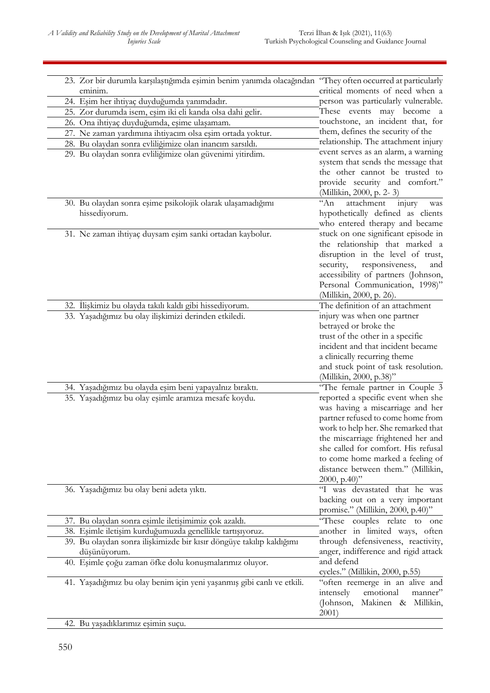| 23. Zor bir durumla karşılaştığımda eşimin benim yanımda olacağından "They often occurred at particularly |                                      |
|-----------------------------------------------------------------------------------------------------------|--------------------------------------|
| eminim.                                                                                                   | critical moments of need when a      |
| 24. Eşim her ihtiyaç duyduğumda yanımdadır.                                                               | person was particularly vulnerable.  |
| 25. Zor durumda isem, eşim iki eli kanda olsa dahi gelir.                                                 | These events may become a            |
| 26. Ona ihtiyaç duyduğumda, eşime ulaşamam.                                                               | touchstone, an incident that, for    |
| 27. Ne zaman yardımına ihtiyacım olsa eşim ortada yoktur.                                                 | them, defines the security of the    |
| 28. Bu olaydan sonra evliliğimize olan inancım sarsıldı.                                                  | relationship. The attachment injury  |
| 29. Bu olaydan sonra evliliğimize olan güvenimi yitirdim.                                                 | event serves as an alarm, a warning  |
|                                                                                                           | system that sends the message that   |
|                                                                                                           | the other cannot be trusted to       |
|                                                                                                           | provide security and comfort."       |
|                                                                                                           | (Millikin, 2000, p. 2-3)             |
| 30. Bu olaydan sonra eşime psikolojik olarak ulaşamadığımı                                                | $A_n$<br>attachment<br>injury<br>was |
| hissediyorum.                                                                                             | hypothetically defined as clients    |
|                                                                                                           | who entered therapy and became       |
| 31. Ne zaman ihtiyaç duysam eşim sanki ortadan kaybolur.                                                  | stuck on one significant episode in  |
|                                                                                                           | the relationship that marked a       |
|                                                                                                           | disruption in the level of trust,    |
|                                                                                                           | security,<br>responsiveness,<br>and  |
|                                                                                                           | accessibility of partners (Johnson,  |
|                                                                                                           | Personal Communication, 1998)"       |
|                                                                                                           | (Millikin, 2000, p. 26).             |
| 32. İlişkimiz bu olayda takılı kaldı gibi hissediyorum.                                                   | The definition of an attachment      |
| 33. Yaşadığımız bu olay ilişkimizi derinden etkiledi.                                                     | injury was when one partner          |
|                                                                                                           | betrayed or broke the                |
|                                                                                                           | trust of the other in a specific     |
|                                                                                                           | incident and that incident became    |
|                                                                                                           | a clinically recurring theme         |
|                                                                                                           | and stuck point of task resolution.  |
|                                                                                                           | (Millikin, 2000, p.38)"              |
| 34. Yaşadığımız bu olayda eşim beni yapayalnız bıraktı.                                                   | "The female partner in Couple 3      |
| 35. Yaşadığımız bu olay eşimle aramıza mesafe koydu.                                                      | reported a specific event when she   |
|                                                                                                           | was having a miscarriage and her     |
|                                                                                                           | partner refused to come home from    |
|                                                                                                           | work to help her. She remarked that  |
|                                                                                                           | the miscarriage frightened her and   |
|                                                                                                           | she called for comfort. His refusal  |
|                                                                                                           | to come home marked a feeling of     |
|                                                                                                           | distance between them." (Millikin,   |
|                                                                                                           | 2000, p.40)"                         |
| 36. Yaşadığımız bu olay beni adeta yıktı.                                                                 | "I was devastated that he was        |
|                                                                                                           | backing out on a very important      |
|                                                                                                           | promise." (Millikin, 2000, p.40)"    |
| 37. Bu olaydan sonra eşimle iletişimimiz çok azaldı.                                                      | "These couples relate to one         |
| 38. Eşimle iletişim kurduğumuzda genellikle tartışıyoruz.                                                 | another in limited ways, often       |
| 39. Bu olaydan sonra ilişkimizde bir kısır döngüye takılıp kaldığımı                                      | through defensiveness, reactivity,   |
| düşünüyorum.                                                                                              | anger, indifference and rigid attack |
| 40. Eşimle çoğu zaman öfke dolu konuşmalarımız oluyor.                                                    | and defend                           |
|                                                                                                           | cycles." (Millikin, 2000, p.55)      |
| 41. Yaşadığımız bu olay benim için yeni yaşanmış gibi canlı ve etkili.                                    | "often reemerge in an alive and      |
|                                                                                                           | emotional<br>manner"<br>intensely    |
|                                                                                                           | (Johnson, Makinen & Millikin,        |
|                                                                                                           | 2001)                                |
| 42. Bu yaşadıklarımız eşimin suçu.                                                                        |                                      |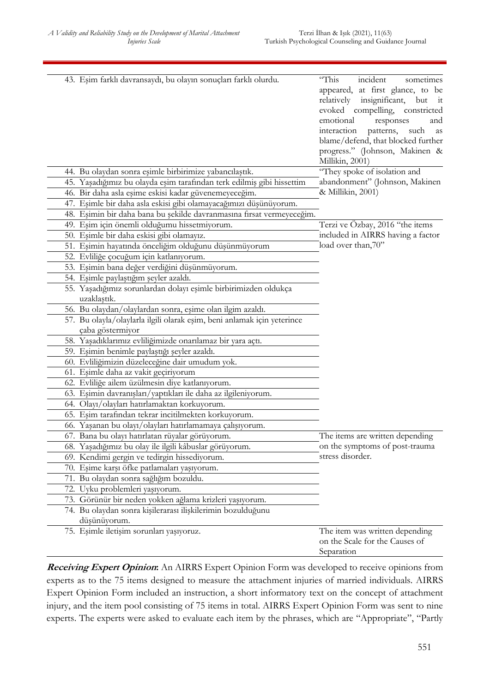| 43. Eşim farklı davransaydı, bu olayın sonuçları farklı olurdu.         | incident<br>"This<br>sometimes<br>appeared, at first glance, to be<br>relatively<br>insignificant, but it<br>evoked compelling, constricted<br>emotional<br>responses<br>and<br>interaction<br>patterns,<br>such<br>as<br>blame/defend, that blocked further<br>progress." (Johnson, Makinen &<br>Millikin, 2001) |
|-------------------------------------------------------------------------|-------------------------------------------------------------------------------------------------------------------------------------------------------------------------------------------------------------------------------------------------------------------------------------------------------------------|
| 44. Bu olaydan sonra eşimle birbirimize yabancılaştık.                  | "They spoke of isolation and                                                                                                                                                                                                                                                                                      |
| 45. Yaşadığımız bu olayda eşim tarafından terk edilmiş gibi hissettim   | abandonment" (Johnson, Makinen                                                                                                                                                                                                                                                                                    |
| 46. Bir daha asla eşime eskisi kadar güvenemeyeceğim.                   | & Millikin, 2001)                                                                                                                                                                                                                                                                                                 |
| 47. Eşimle bir daha asla eskisi gibi olamayacağımızı düşünüyorum.       |                                                                                                                                                                                                                                                                                                                   |
| 48. Eşimin bir daha bana bu şekilde davranmasına fırsat vermeyeceğim.   |                                                                                                                                                                                                                                                                                                                   |
| 49. Eşim için önemli olduğumu hissetmiyorum.                            | Terzi ve Özbay, 2016 "the items                                                                                                                                                                                                                                                                                   |
| 50. Esimle bir daha eskisi gibi olamayız.                               | included in AIRRS having a factor                                                                                                                                                                                                                                                                                 |
| 51. Eşimin hayatında önceliğim olduğunu düşünmüyorum                    | load over than,70"                                                                                                                                                                                                                                                                                                |
| 52. Evliliğe çocuğum için katlanıyorum.                                 |                                                                                                                                                                                                                                                                                                                   |
| 53. Eşimin bana değer verdiğini düşünmüyorum.                           |                                                                                                                                                                                                                                                                                                                   |
| 54. Eşimle paylaştığım şeyler azaldı.                                   |                                                                                                                                                                                                                                                                                                                   |
| 55. Yaşadığımız sorunlardan dolayı eşimle birbirimizden oldukça         |                                                                                                                                                                                                                                                                                                                   |
| uzaklastık.                                                             |                                                                                                                                                                                                                                                                                                                   |
| 56. Bu olaydan/olaylardan sonra, eşime olan ilgim azaldı.               |                                                                                                                                                                                                                                                                                                                   |
| 57. Bu olayla/olaylarla ilgili olarak eşim, beni anlamak için yeterince |                                                                                                                                                                                                                                                                                                                   |
| çaba göstermiyor                                                        |                                                                                                                                                                                                                                                                                                                   |
| 58. Yaşadıklarımız evliliğimizde onarılamaz bir yara açtı.              |                                                                                                                                                                                                                                                                                                                   |
| 59. Eşimin benimle paylaştığı şeyler azaldı.                            |                                                                                                                                                                                                                                                                                                                   |
| 60. Evliliğimizin düzeleceğine dair umudum yok.                         |                                                                                                                                                                                                                                                                                                                   |
| 61. Eşimle daha az vakit geçiriyorum                                    |                                                                                                                                                                                                                                                                                                                   |
| 62. Evliliğe ailem üzülmesin diye katlanıyorum.                         |                                                                                                                                                                                                                                                                                                                   |
| 63. Eşimin davranışları/yaptıkları ile daha az ilgileniyorum.           |                                                                                                                                                                                                                                                                                                                   |
| 64. Olayı/olayları hatırlamaktan korkuyorum.                            |                                                                                                                                                                                                                                                                                                                   |
| 65. Esim tarafından tekrar incitilmekten korkuyorum.                    |                                                                                                                                                                                                                                                                                                                   |
| 66. Yaşanan bu olayı/olayları hatırlamamaya çalışıyorum.                |                                                                                                                                                                                                                                                                                                                   |
| 67. Bana bu olayı hatırlatan rüyalar görüyorum.                         | The items are written depending                                                                                                                                                                                                                                                                                   |
| 68. Yaşadığımız bu olay ile ilgili kâbuslar görüyorum.                  | on the symptoms of post-trauma                                                                                                                                                                                                                                                                                    |
| 69. Kendimi gergin ve tedirgin hissediyorum.                            | stress disorder.                                                                                                                                                                                                                                                                                                  |
| 70. Eşime karşı öfke patlamaları yaşıyorum.                             |                                                                                                                                                                                                                                                                                                                   |
| 71. Bu olaydan sonra sağlığım bozuldu.                                  |                                                                                                                                                                                                                                                                                                                   |
| 72. Uyku problemleri yaşıyorum.                                         |                                                                                                                                                                                                                                                                                                                   |
| 73. Görünür bir neden yokken ağlama krizleri yaşıyorum.                 |                                                                                                                                                                                                                                                                                                                   |
| 74. Bu olaydan sonra kişilerarası ilişkilerimin bozulduğunu             |                                                                                                                                                                                                                                                                                                                   |
| düşünüyorum.                                                            |                                                                                                                                                                                                                                                                                                                   |
| 75. Eşimle iletişim sorunları yaşıyoruz.                                | The item was written depending<br>on the Scale for the Causes of<br>Separation                                                                                                                                                                                                                                    |

**Receiving Expert Opinion:** An AIRRS Expert Opinion Form was developed to receive opinions from experts as to the 75 items designed to measure the attachment injuries of married individuals. AIRRS Expert Opinion Form included an instruction, a short informatory text on the concept of attachment injury, and the item pool consisting of 75 items in total. AIRRS Expert Opinion Form was sent to nine experts. The experts were asked to evaluate each item by the phrases, which are "Appropriate", "Partly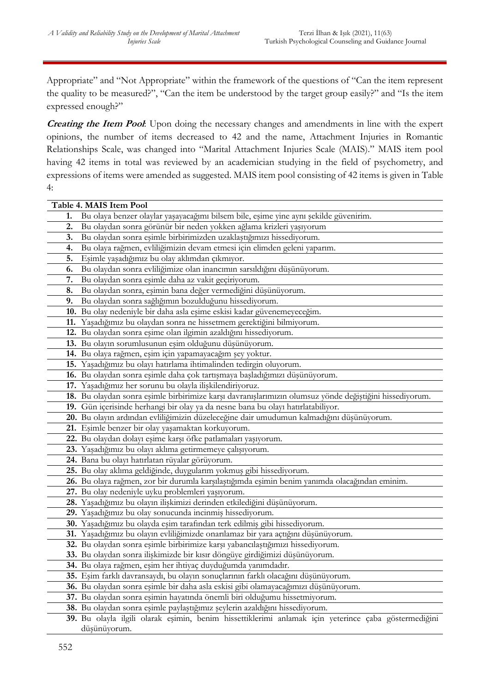Appropriate" and "Not Appropriate" within the framework of the questions of "Can the item represent the quality to be measured?", "Can the item be understood by the target group easily?" and "Is the item expressed enough?"

**Creating the Item Pool**: Upon doing the necessary changes and amendments in line with the expert opinions, the number of items decreased to 42 and the name, Attachment Injuries in Romantic Relationships Scale, was changed into "Marital Attachment Injuries Scale (MAIS)." MAIS item pool having 42 items in total was reviewed by an academician studying in the field of psychometry, and expressions of items were amended as suggested. MAIS item pool consisting of 42 items is given in Table 4:

|    | Table 4. MAIS Item Pool                                                                                 |
|----|---------------------------------------------------------------------------------------------------------|
| 1. | Bu olaya benzer olaylar yaşayacağımı bilsem bile, eşime yine aynı şekilde güvenirim.                    |
| 2. | Bu olaydan sonra görünür bir neden yokken ağlama krizleri yaşıyorum                                     |
| 3. | Bu olaydan sonra eşimle birbirimizden uzaklaştığımızı hissediyorum.                                     |
| 4. | Bu olaya rağmen, evliliğimizin devam etmesi için elimden geleni yaparım.                                |
| 5. | Esimle yaşadığımız bu olay aklımdan çıkmıyor.                                                           |
| 6. | Bu olaydan sonra evliliğimize olan inancımın sarsıldığını düşünüyorum.                                  |
| 7. | Bu olaydan sonra eşimle daha az vakit geçiriyorum.                                                      |
| 8. | Bu olaydan sonra, eşimin bana değer vermediğini düşünüyorum.                                            |
| 9. | Bu olaydan sonra sağlığımın bozulduğunu hissediyorum.                                                   |
|    | 10. Bu olay nedeniyle bir daha asla eşime eskisi kadar güvenemeyeceğim.                                 |
|    | 11. Yaşadığımız bu olaydan sonra ne hissetmem gerektiğini bilmiyorum.                                   |
|    | 12. Bu olaydan sonra eşime olan ilgimin azaldığını hissediyorum.                                        |
|    | 13. Bu olayın sorumlusunun eşim olduğunu düşünüyorum.                                                   |
|    | 14. Bu olaya rağmen, eşim için yapamayacağım şey yoktur.                                                |
|    | 15. Yaşadığımız bu olayı hatırlama ihtimalinden tedirgin oluyorum.                                      |
|    | 16. Bu olaydan sonra eşimle daha çok tartışmaya başladığımızı düşünüyorum.                              |
|    | 17. Yaşadığımız her sorunu bu olayla ilişkilendiriyoruz.                                                |
|    | 18. Bu olaydan sonra eşimle birbirimize karşı davranışlarımızın olumsuz yönde değiştiğini hissediyorum. |
|    | 19. Gün içerisinde herhangi bir olay ya da nesne bana bu olayı hatırlatabiliyor.                        |
|    | 20. Bu olayın ardından evliliğimizin düzeleceğine dair umudumun kalmadığını düşünüyorum.                |
|    | 21. Eşimle benzer bir olay yaşamaktan korkuyorum.                                                       |
|    | 22. Bu olaydan dolayı eşime karşı öfke patlamaları yaşıyorum.                                           |
|    | 23. Yaşadığımız bu olayı aklıma getirmemeye çalışıyorum.                                                |
|    | 24. Bana bu olayı hatırlatan rüyalar görüyorum.                                                         |
|    | 25. Bu olay aklıma geldiğinde, duygularım yokmuş gibi hissediyorum.                                     |
|    | 26. Bu olaya rağmen, zor bir durumla karşılaştığımda eşimin benim yanımda olacağından eminim.           |
|    | 27. Bu olay nedeniyle uyku problemleri yaşıyorum.                                                       |
|    | 28. Yaşadığımız bu olayın ilişkimizi derinden etkilediğini düşünüyorum.                                 |
|    | 29. Yaşadığımız bu olay sonucunda incinmiş hissediyorum.                                                |
|    | 30. Yaşadığımız bu olayda eşim tarafından terk edilmiş gibi hissediyorum.                               |
|    | 31. Yaşadığımız bu olayın evliliğimizde onarılamaz bir yara açtığını düşünüyorum.                       |
|    | 32. Bu olaydan sonra eşimle birbirimize karşı yabancılaştığımızı hissediyorum.                          |
|    | 33. Bu olaydan sonra ilişkimizde bir kısır döngüye girdiğimizi düşünüyorum.                             |
|    | 34. Bu olaya rağmen, eşim her ihtiyaç duyduğumda yanımdadır.                                            |
|    | 35. Eşim farklı davransaydı, bu olayın sonuçlarının farklı olacağını düşünüyorum.                       |
|    | 36. Bu olaydan sonra eşimle bir daha asla eskisi gibi olamayacağımızı düşünüyorum.                      |
|    | 37. Bu olaydan sonra eşimin hayatında önemli biri olduğumu hissetmiyorum.                               |
|    | 38. Bu olaydan sonra eşimle paylaştığımız şeylerin azaldığını hissediyorum.                             |
|    | 39. Bu olayla ilgili olarak eşimin, benim hissettiklerimi anlamak için yeterince çaba göstermediğini    |
|    | düşünüyorum.                                                                                            |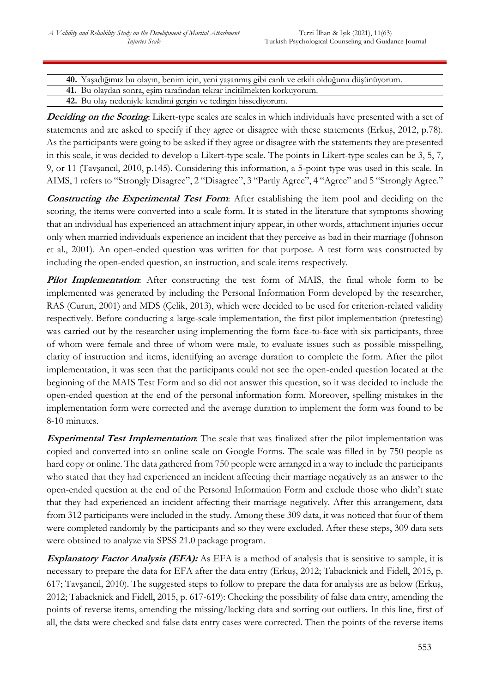**40.** Yaşadığımız bu olayın, benim için, yeni yaşanmış gibi canlı ve etkili olduğunu düşünüyorum.

**41.** Bu olaydan sonra, eşim tarafından tekrar incitilmekten korkuyorum.

**42.** Bu olay nedeniyle kendimi gergin ve tedirgin hissediyorum.

**Deciding on the Scoring**: Likert-type scales are scales in which individuals have presented with a set of statements and are asked to specify if they agree or disagree with these statements (Erkuş, 2012, p.78). As the participants were going to be asked if they agree or disagree with the statements they are presented in this scale, it was decided to develop a Likert-type scale. The points in Likert-type scales can be 3, 5, 7, 9, or 11 (Tavşancıl, 2010, p.145). Considering this information, a 5-point type was used in this scale. In AIMS, 1 refers to "Strongly Disagree", 2 "Disagree", 3 "Partly Agree", 4 "Agree" and 5 "Strongly Agree."

**Constructing the Experimental Test Form**: After establishing the item pool and deciding on the scoring, the items were converted into a scale form. It is stated in the literature that symptoms showing that an individual has experienced an attachment injury appear, in other words, attachment injuries occur only when married individuals experience an incident that they perceive as bad in their marriage (Johnson et al., 2001). An open-ended question was written for that purpose. A test form was constructed by including the open-ended question, an instruction, and scale items respectively.

**Pilot Implementation**: After constructing the test form of MAIS, the final whole form to be implemented was generated by including the Personal Information Form developed by the researcher, RAS (Curun, 2001) and MDS (Celik, 2013), which were decided to be used for criterion-related validity respectively. Before conducting a large-scale implementation, the first pilot implementation (pretesting) was carried out by the researcher using implementing the form face-to-face with six participants, three of whom were female and three of whom were male, to evaluate issues such as possible misspelling, clarity of instruction and items, identifying an average duration to complete the form. After the pilot implementation, it was seen that the participants could not see the open-ended question located at the beginning of the MAIS Test Form and so did not answer this question, so it was decided to include the open-ended question at the end of the personal information form. Moreover, spelling mistakes in the implementation form were corrected and the average duration to implement the form was found to be 8-10 minutes.

**Experimental Test Implementation**: The scale that was finalized after the pilot implementation was copied and converted into an online scale on Google Forms. The scale was filled in by 750 people as hard copy or online. The data gathered from 750 people were arranged in a way to include the participants who stated that they had experienced an incident affecting their marriage negatively as an answer to the open-ended question at the end of the Personal Information Form and exclude those who didn't state that they had experienced an incident affecting their marriage negatively. After this arrangement, data from 312 participants were included in the study. Among these 309 data, it was noticed that four of them were completed randomly by the participants and so they were excluded. After these steps, 309 data sets were obtained to analyze via SPSS 21.0 package program.

**Explanatory Factor Analysis (EFA):** As EFA is a method of analysis that is sensitive to sample, it is necessary to prepare the data for EFA after the data entry (Erkuş, 2012; Tabacknick and Fidell, 2015, p. 617; Tavşancıl, 2010). The suggested steps to follow to prepare the data for analysis are as below (Erkuş, 2012; Tabacknick and Fidell, 2015, p. 617-619): Checking the possibility of false data entry, amending the points of reverse items, amending the missing/lacking data and sorting out outliers. In this line, first of all, the data were checked and false data entry cases were corrected. Then the points of the reverse items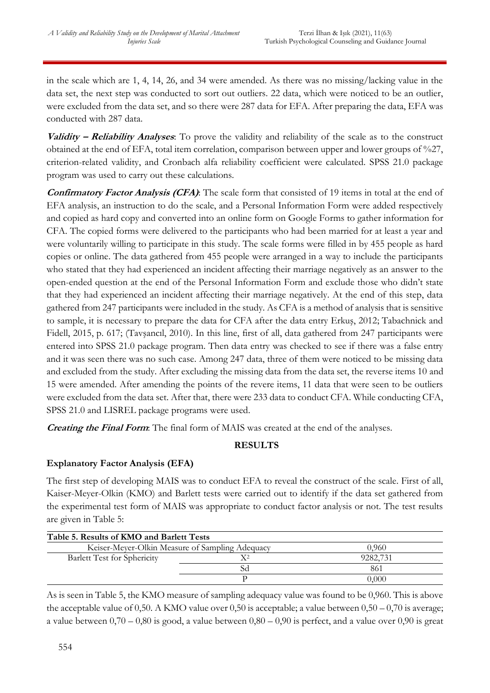in the scale which are 1, 4, 14, 26, and 34 were amended. As there was no missing/lacking value in the data set, the next step was conducted to sort out outliers. 22 data, which were noticed to be an outlier, were excluded from the data set, and so there were 287 data for EFA. After preparing the data, EFA was conducted with 287 data.

**Validity – Reliability Analyses**: To prove the validity and reliability of the scale as to the construct obtained at the end of EFA, total item correlation, comparison between upper and lower groups of %27, criterion-related validity, and Cronbach alfa reliability coefficient were calculated. SPSS 21.0 package program was used to carry out these calculations.

**Confirmatory Factor Analysis (CFA)**: The scale form that consisted of 19 items in total at the end of EFA analysis, an instruction to do the scale, and a Personal Information Form were added respectively and copied as hard copy and converted into an online form on Google Forms to gather information for CFA. The copied forms were delivered to the participants who had been married for at least a year and were voluntarily willing to participate in this study. The scale forms were filled in by 455 people as hard copies or online. The data gathered from 455 people were arranged in a way to include the participants who stated that they had experienced an incident affecting their marriage negatively as an answer to the open-ended question at the end of the Personal Information Form and exclude those who didn't state that they had experienced an incident affecting their marriage negatively. At the end of this step, data gathered from 247 participants were included in the study. As CFA is a method of analysis that is sensitive to sample, it is necessary to prepare the data for CFA after the data entry Erkuş, 2012; Tabachnick and Fidell, 2015, p. 617; (Tavşancıl, 2010). In this line, first of all, data gathered from 247 participants were entered into SPSS 21.0 package program. Then data entry was checked to see if there was a false entry and it was seen there was no such case. Among 247 data, three of them were noticed to be missing data and excluded from the study. After excluding the missing data from the data set, the reverse items 10 and 15 were amended. After amending the points of the revere items, 11 data that were seen to be outliers were excluded from the data set. After that, there were 233 data to conduct CFA. While conducting CFA, SPSS 21.0 and LISREL package programs were used.

**Creating the Final Form**: The final form of MAIS was created at the end of the analyses.

# **RESULTS**

## **Explanatory Factor Analysis (EFA)**

The first step of developing MAIS was to conduct EFA to reveal the construct of the scale. First of all, Kaiser-Meyer-Olkin (KMO) and Barlett tests were carried out to identify if the data set gathered from the experimental test form of MAIS was appropriate to conduct factor analysis or not. The test results are given in Table 5:

| Table 5. Results of KMO and Barlett Tests |                                                 |          |  |  |  |
|-------------------------------------------|-------------------------------------------------|----------|--|--|--|
|                                           | Keiser-Meyer-Olkin Measure of Sampling Adequacy | 0.960    |  |  |  |
| <b>Barlett Test for Sphericity</b>        |                                                 | 9282.731 |  |  |  |
|                                           |                                                 | 861      |  |  |  |
|                                           |                                                 | 0,000    |  |  |  |

As is seen in Table 5, the KMO measure of sampling adequacy value was found to be 0,960. This is above the acceptable value of 0,50. A KMO value over 0,50 is acceptable; a value between  $0,50 - 0,70$  is average; a value between  $0,70 - 0,80$  is good, a value between  $0,80 - 0,90$  is perfect, and a value over 0,90 is great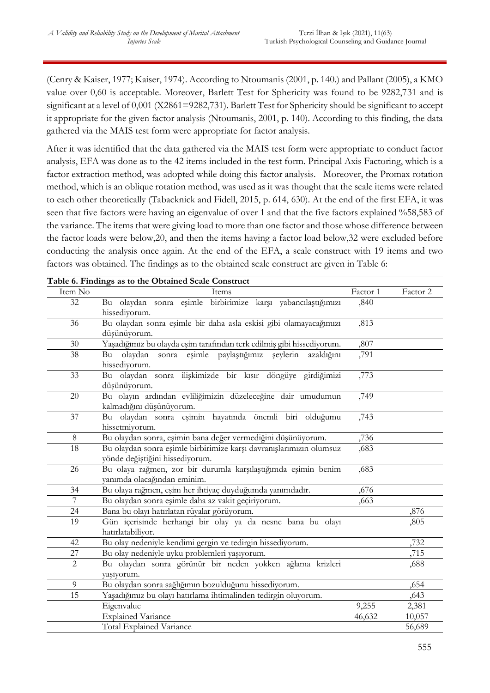(Cenry & Kaiser, 1977; Kaiser, 1974). According to Ntoumanis (2001, p. 140.) and Pallant (2005), a KMO value over 0,60 is acceptable. Moreover, Barlett Test for Sphericity was found to be 9282,731 and is significant at a level of 0,001 (X2861=9282,731). Barlett Test for Sphericity should be significant to accept it appropriate for the given factor analysis (Ntoumanis, 2001, p. 140). According to this finding, the data gathered via the MAIS test form were appropriate for factor analysis.

After it was identified that the data gathered via the MAIS test form were appropriate to conduct factor analysis, EFA was done as to the 42 items included in the test form. Principal Axis Factoring, which is a factor extraction method, was adopted while doing this factor analysis. Moreover, the Promax rotation method, which is an oblique rotation method, was used as it was thought that the scale items were related to each other theoretically (Tabacknick and Fidell, 2015, p. 614, 630). At the end of the first EFA, it was seen that five factors were having an eigenvalue of over 1 and that the five factors explained %58,583 of the variance. The items that were giving load to more than one factor and those whose difference between the factor loads were below,20, and then the items having a factor load below,32 were excluded before conducting the analysis once again. At the end of the EFA, a scale construct with 19 items and two factors was obtained. The findings as to the obtained scale construct are given in Table 6:

|                | Table 6. Findings as to the Obtained Scale Construct                  |          |          |
|----------------|-----------------------------------------------------------------------|----------|----------|
| Item No        | Items                                                                 | Factor 1 | Factor 2 |
| 32             | Bu olaydan sonra eşimle birbirimize karşı yabancılaştığımızı          | ,840     |          |
|                | hissediyorum.                                                         |          |          |
| 36             | Bu olaydan sonra eşimle bir daha asla eskisi gibi olamayacağımızı     | ,813     |          |
|                | düşünüyorum.                                                          |          |          |
| 30             | Yaşadığımız bu olayda eşim tarafından terk edilmiş gibi hissediyorum. | ,807     |          |
| 38             | eşimle paylaştığımız şeylerin<br>olaydan<br>azaldığını<br>Bu<br>sonra | ,791     |          |
|                | hissediyorum.                                                         |          |          |
| 33             | Bu olaydan sonra ilişkimizde bir kısır döngüye girdiğimizi            | ,773     |          |
|                | düşünüyorum.                                                          |          |          |
| 20             | Bu olayın ardından evliliğimizin düzeleceğine dair umudumun           | ,749     |          |
|                | kalmadığını düşünüyorum.                                              |          |          |
| 37             | Bu olaydan sonra eşimin hayatında önemli biri olduğumu                | ,743     |          |
|                | hissetmiyorum.                                                        |          |          |
| 8              | Bu olaydan sonra, eşimin bana değer vermediğini düşünüyorum.          | ,736     |          |
| 18             | Bu olaydan sonra eşimle birbirimize karşı davranışlarımızın olumsuz   | ,683     |          |
|                | yönde değiştiğini hissediyorum.                                       |          |          |
| 26             | Bu olaya rağmen, zor bir durumla karşılaştığımda eşimin benim         | ,683     |          |
|                | yanımda olacağından eminim.                                           |          |          |
| 34             | Bu olaya rağmen, eşim her ihtiyaç duyduğumda yanımdadır.              | ,676     |          |
| $\overline{7}$ | Bu olaydan sonra eşimle daha az vakit geçiriyorum.                    | ,663     |          |
| 24             | Bana bu olayı hatırlatan rüyalar görüyorum.                           |          | ,876     |
| 19             | Gün içerisinde herhangi bir olay ya da nesne bana bu olayı            |          | ,805     |
|                | hatırlatabiliyor.                                                     |          |          |
| 42             | Bu olay nedeniyle kendimi gergin ve tedirgin hissediyorum.            |          | ,732     |
| 27             | Bu olay nedeniyle uyku problemleri yaşıyorum.                         |          | ,715     |
| 2              | Bu olaydan sonra görünür bir neden yokken ağlama krizleri             |          | ,688     |
|                | vasivorum.                                                            |          |          |
| 9              | Bu olaydan sonra sağlığımın bozulduğunu hissediyorum.                 |          | ,654     |
| 15             | Yaşadığımız bu olayı hatırlama ihtimalinden tedirgin oluyorum.        |          | ,643     |
|                | Eigenvalue                                                            | 9,255    | 2,381    |
|                | <b>Explained Variance</b>                                             | 46,632   | 10,057   |
|                | Total Explained Variance                                              |          | 56,689   |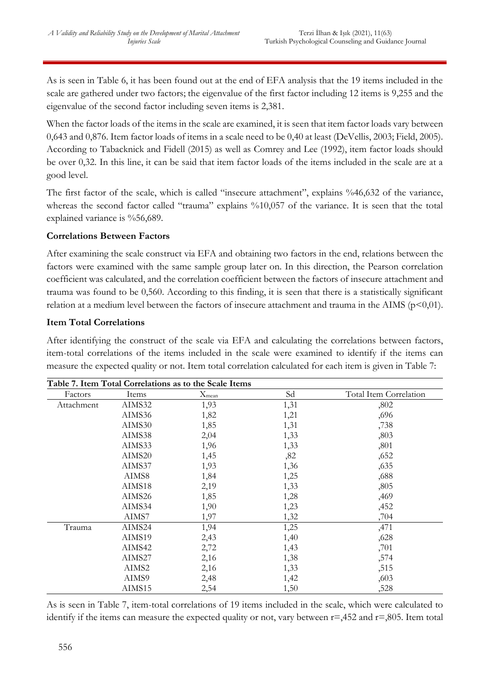As is seen in Table 6, it has been found out at the end of EFA analysis that the 19 items included in the scale are gathered under two factors; the eigenvalue of the first factor including 12 items is 9,255 and the eigenvalue of the second factor including seven items is 2,381.

When the factor loads of the items in the scale are examined, it is seen that item factor loads vary between 0,643 and 0,876. Item factor loads of items in a scale need to be 0,40 at least (DeVellis, 2003; Field, 2005). According to Tabacknick and Fidell (2015) as well as Comrey and Lee (1992), item factor loads should be over 0,32. In this line, it can be said that item factor loads of the items included in the scale are at a good level.

The first factor of the scale, which is called "insecure attachment", explains %46,632 of the variance, whereas the second factor called "trauma" explains %10,057 of the variance. It is seen that the total explained variance is %56,689.

# **Correlations Between Factors**

After examining the scale construct via EFA and obtaining two factors in the end, relations between the factors were examined with the same sample group later on. In this direction, the Pearson correlation coefficient was calculated, and the correlation coefficient between the factors of insecure attachment and trauma was found to be 0,560. According to this finding, it is seen that there is a statistically significant relation at a medium level between the factors of insecure attachment and trauma in the AIMS ( $p<0,01$ ).

# **Item Total Correlations**

After identifying the construct of the scale via EFA and calculating the correlations between factors, item-total correlations of the items included in the scale were examined to identify if the items can measure the expected quality or not. Item total correlation calculated for each item is given in Table 7:

|            |        | Table 7. Item Total Correlations as to the Scale Items |      |                        |
|------------|--------|--------------------------------------------------------|------|------------------------|
| Factors    | Items  | $X_{mean}$                                             | Sd   | Total Item Correlation |
| Attachment | AIMS32 | 1,93                                                   | 1,31 | ,802                   |
|            | AIMS36 | 1,82                                                   | 1,21 | ,696                   |
|            | AIMS30 | 1,85                                                   | 1,31 | ,738                   |
|            | AIMS38 | 2,04                                                   | 1,33 | ,803                   |
|            | AIMS33 | 1,96                                                   | 1,33 | ,801                   |
|            | AIMS20 | 1,45                                                   | ,82  | ,652                   |
|            | AIMS37 | 1,93                                                   | 1,36 | ,635                   |
|            | AIMS8  | 1,84                                                   | 1,25 | ,688                   |
|            | AIMS18 | 2,19                                                   | 1,33 | ,805                   |
|            | AIMS26 | 1,85                                                   | 1,28 | ,469                   |
|            | AIMS34 | 1,90                                                   | 1,23 | ,452                   |
|            | AIMS7  | 1,97                                                   | 1,32 | ,704                   |
| Trauma     | AIMS24 | 1,94                                                   | 1,25 | ,471                   |
|            | AIMS19 | 2,43                                                   | 1,40 | ,628                   |
|            | AIMS42 | 2,72                                                   | 1,43 | ,701                   |
|            | AIMS27 | 2,16                                                   | 1,38 | ,574                   |
|            | AIMS2  | 2,16                                                   | 1,33 | ,515                   |
|            | AIMS9  | 2,48                                                   | 1,42 | ,603                   |
|            | AIMS15 | 2,54                                                   | 1,50 | ,528                   |

As is seen in Table 7, item-total correlations of 19 items included in the scale, which were calculated to identify if the items can measure the expected quality or not, vary between  $r = 0.452$  and  $r = 0.805$ . Item total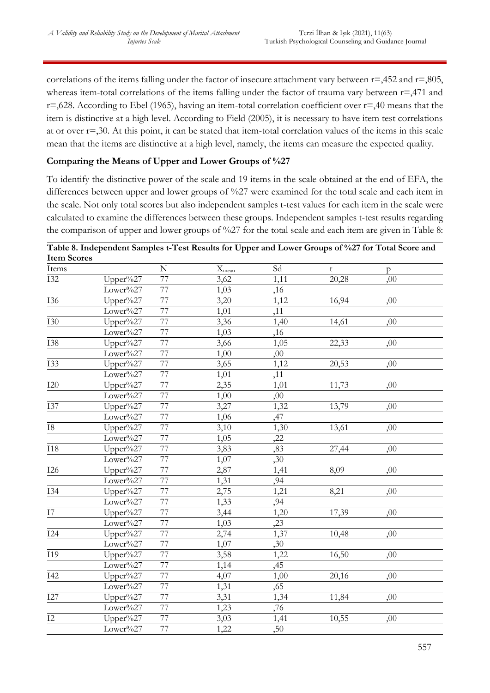correlations of the items falling under the factor of insecure attachment vary between  $r = 0.452$  and  $r = 0.805$ , whereas item-total correlations of the items falling under the factor of trauma vary between r=,471 and  $r=0.628$ . According to Ebel (1965), having an item-total correlation coefficient over  $r=0.40$  means that the item is distinctive at a high level. According to Field (2005), it is necessary to have item test correlations at or over r=,30. At this point, it can be stated that item-total correlation values of the items in this scale mean that the items are distinctive at a high level, namely, the items can measure the expected quality.

# **Comparing the Means of Upper and Lower Groups of %27**

To identify the distinctive power of the scale and 19 items in the scale obtained at the end of EFA, the differences between upper and lower groups of %27 were examined for the total scale and each item in the scale. Not only total scores but also independent samples t-test values for each item in the scale were calculated to examine the differences between these groups. Independent samples t-test results regarding the comparison of upper and lower groups of %27 for the total scale and each item are given in Table 8:

| <b>Item Scores</b> |             |                 |                   |      |       |              |  |
|--------------------|-------------|-----------------|-------------------|------|-------|--------------|--|
| Items              |             | ${\bf N}$       | $X_{\text{mean}}$ | Sd   | t     | $\mathsf{p}$ |  |
| <b>I32</b>         | $Upper\%27$ | 77              | 3,62              | 1,11 | 20,28 | ,00          |  |
|                    | Lower%27    | 77              | 1,03              | ,16  |       |              |  |
| <b>I36</b>         | Upper%27    | 77              | 3,20              | 1,12 | 16,94 | ,00          |  |
|                    | Lower%27    | $\overline{77}$ | 1,01              | ,11  |       |              |  |
| <b>I30</b>         | Upper%27    | 77              | 3,36              | 1,40 | 14,61 | ,00          |  |
|                    | Lower%27    | 77              | 1,03              | ,16  |       |              |  |
| <b>I38</b>         | Upper%27    | 77              | 3,66              | 1,05 | 22,33 | ,00          |  |
|                    | Lower%27    | $\overline{77}$ | 1,00              | ,00  |       |              |  |
| <b>I33</b>         | Upper%27    | 77              | 3,65              | 1,12 | 20,53 | ,00          |  |
|                    | Lower%27    | 77              | 1,01              | ,11  |       |              |  |
| $I20$              | Upper%27    | 77              | 2,35              | 1,01 | 11,73 | ,00          |  |
|                    | Lower%27    | 77              | 1,00              | ,00  |       |              |  |
| <b>I37</b>         | Upper%27    | 77              | 3,27              | 1,32 | 13,79 | ,00          |  |
|                    | Lower%27    | 77              | 1,06              | ,47  |       |              |  |
| ${\rm I}8$         | Upper%27    | $\overline{77}$ | 3,10              | 1,30 | 13,61 | ,00          |  |
|                    | Lower%27    | 77              | 1,05              | ,22  |       |              |  |
| $\overline{118}$   | Upper%27    | 77              | 3,83              | ,83  | 27,44 | ,00          |  |
|                    | Lower%27    | 77              | 1,07              | ,30  |       |              |  |
| I26                | Upper%27    | 77              | 2,87              | 1,41 | 8,09  | ,00          |  |
|                    | Lower%27    | 77              | 1,31              | ,94  |       |              |  |
| <b>I34</b>         | Upper%27    | 77              | 2,75              | 1,21 | 8,21  | ,00          |  |
|                    | Lower%27    | 77              | 1,33              | ,94  |       |              |  |
| I7                 | Upper%27    | $\overline{77}$ | 3,44              | 1,20 | 17,39 | ,00          |  |
|                    | Lower%27    | 77              | 1,03              | ,23  |       |              |  |
| I24                | Upper%27    | 77              | 2,74              | 1,37 | 10,48 | ,00          |  |
|                    | Lower%27    | $\overline{77}$ | 1,07              | ,30  |       |              |  |
| I19                | Upper%27    | $\overline{77}$ | 3,58              | 1,22 | 16,50 | ,00          |  |
|                    | Lower%27    | 77              | 1,14              | ,45  |       |              |  |
| <b>I42</b>         | Upper%27    | 77              | 4,07              | 1,00 | 20,16 | ,00          |  |
|                    | Lower%27    | 77              | 1,31              | ,65  |       |              |  |
| $I27$              | Upper%27    | 77              | 3,31              | 1,34 | 11,84 | ,00          |  |
|                    | Lower%27    | 77              | 1,23              | ,76  |       |              |  |
| $\overline{12}$    | Upper%27    | 77              | 3,03              | 1,41 | 10,55 | ,00          |  |
|                    | Lower%27    | 77              | 1,22              | ,50  |       |              |  |

#### **Table 8. Independent Samples t-Test Results for Upper and Lower Groups of %27 for Total Score and Item Scores**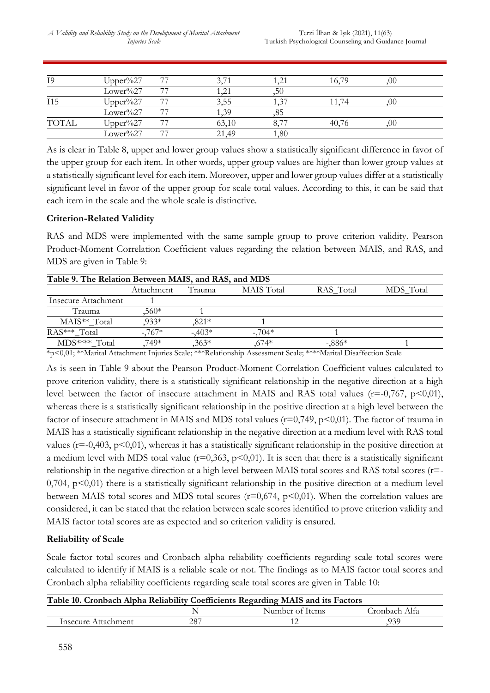| I9           | $Upper\%27$ |    |       | 1.21      | 16,79 | .00 |  |
|--------------|-------------|----|-------|-----------|-------|-----|--|
|              | Lower%27    | 77 | .21   | ,50       |       |     |  |
| I15          | Upper%27    |    | 3,55  | $1.3^{7}$ |       | OO  |  |
|              | Lower%27    | 77 | -39   | 85        |       |     |  |
| <b>TOTAL</b> | Upper%27    |    | 63,10 | 8.77      | 40,76 | OO  |  |
|              | Lower%27    | 77 | 21,49 | 1,80      |       |     |  |

As is clear in Table 8, upper and lower group values show a statistically significant difference in favor of the upper group for each item. In other words, upper group values are higher than lower group values at a statistically significant level for each item. Moreover, upper and lower group values differ at a statistically significant level in favor of the upper group for scale total values. According to this, it can be said that each item in the scale and the whole scale is distinctive.

# **Criterion-Related Validity**

RAS and MDS were implemented with the same sample group to prove criterion validity. Pearson Product-Moment Correlation Coefficient values regarding the relation between MAIS, and RAS, and MDS are given in Table 9:

| Table 9. The Relation Between MAIS, and RAS, and MDS |            |         |            |           |           |  |  |  |
|------------------------------------------------------|------------|---------|------------|-----------|-----------|--|--|--|
|                                                      | Attachment | Trauma  | MAIS Total | RAS Total | MDS Total |  |  |  |
| Insecure Attachment                                  |            |         |            |           |           |  |  |  |
| Trauma                                               | $560*$     |         |            |           |           |  |  |  |
| MAIS <sup>**</sup> Total                             | $933*$     | $821*$  |            |           |           |  |  |  |
| RAS*** Total                                         | $-767*$    | $-403*$ | $-704*$    |           |           |  |  |  |
| MDS**** Total                                        | .749*      | $,363*$ | ,674*      | $-0.886*$ |           |  |  |  |

\*p<0,01; \*\*Marital Attachment Injuries Scale; \*\*\*Relationship Assessment Scale; \*\*\*\*Marital Disaffection Scale

As is seen in Table 9 about the Pearson Product-Moment Correlation Coefficient values calculated to prove criterion validity, there is a statistically significant relationship in the negative direction at a high level between the factor of insecure attachment in MAIS and RAS total values ( $r = -0.767$ ,  $p < 0.01$ ), whereas there is a statistically significant relationship in the positive direction at a high level between the factor of insecure attachment in MAIS and MDS total values ( $r=0,749$ ,  $p<0,01$ ). The factor of trauma in MAIS has a statistically significant relationship in the negative direction at a medium level with RAS total values ( $r = 0,403$ ,  $p \le 0,01$ ), whereas it has a statistically significant relationship in the positive direction at a medium level with MDS total value ( $r=0,363$ ,  $p<0,01$ ). It is seen that there is a statistically significant relationship in the negative direction at a high level between MAIS total scores and RAS total scores (r=-  $0,704$ ,  $p<0,01$ ) there is a statistically significant relationship in the positive direction at a medium level between MAIS total scores and MDS total scores ( $r=0.674$ ,  $p<0.01$ ). When the correlation values are considered, it can be stated that the relation between scale scores identified to prove criterion validity and MAIS factor total scores are as expected and so criterion validity is ensured.

## **Reliability of Scale**

Scale factor total scores and Cronbach alpha reliability coefficients regarding scale total scores were calculated to identify if MAIS is a reliable scale or not. The findings as to MAIS factor total scores and Cronbach alpha reliability coefficients regarding scale total scores are given in Table 10:

|                     |     | Table 10. Cronbach Alpha Reliability Coefficients Regarding MAIS and its Factors |               |
|---------------------|-----|----------------------------------------------------------------------------------|---------------|
|                     |     | Number of Items                                                                  | Cronbach Alfa |
| Insecure Attachment | 287 |                                                                                  | 939.          |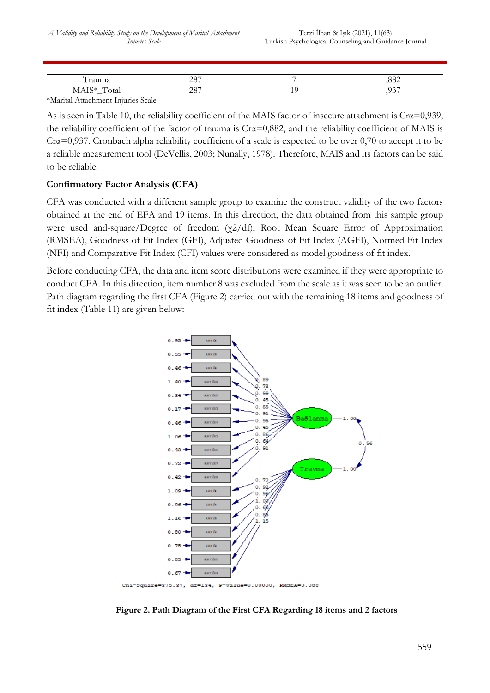| ,,,<br>$\cdots$<br>سمىيى.<br>л.                                            | 207<br>∠∪⊣ | $\overline{\phantom{a}}$ | 'U                   |
|----------------------------------------------------------------------------|------------|--------------------------|----------------------|
| $T \cap \cup$<br><b>IVLLATO</b><br><u>utal</u><br>$\overline{\phantom{0}}$ | 007<br>⊷   | . .                      | $\sim$ $\sim$ $\sim$ |

\*Marital Attachment Injuries Scale

As is seen in Table 10, the reliability coefficient of the MAIS factor of insecure attachment is Cr $\alpha$ =0,939; the reliability coefficient of the factor of trauma is  $Cr\alpha = 0.882$ , and the reliability coefficient of MAIS is Crα=0,937. Cronbach alpha reliability coefficient of a scale is expected to be over 0,70 to accept it to be a reliable measurement tool (DeVellis, 2003; Nunally, 1978). Therefore, MAIS and its factors can be said to be reliable.

# **Confirmatory Factor Analysis (CFA)**

CFA was conducted with a different sample group to examine the construct validity of the two factors obtained at the end of EFA and 19 items. In this direction, the data obtained from this sample group were used and-square/Degree of freedom (χ2/df), Root Mean Square Error of Approximation (RMSEA), Goodness of Fit Index (GFI), Adjusted Goodness of Fit Index (AGFI), Normed Fit Index (NFI) and Comparative Fit Index (CFI) values were considered as model goodness of fit index.

Before conducting CFA, the data and item score distributions were examined if they were appropriate to conduct CFA. In this direction, item number 8 was excluded from the scale as it was seen to be an outlier. Path diagram regarding the first CFA (Figure 2) carried out with the remaining 18 items and goodness of fit index (Table 11) are given below:



**Figure 2. Path Diagram of the First CFA Regarding 18 items and 2 factors**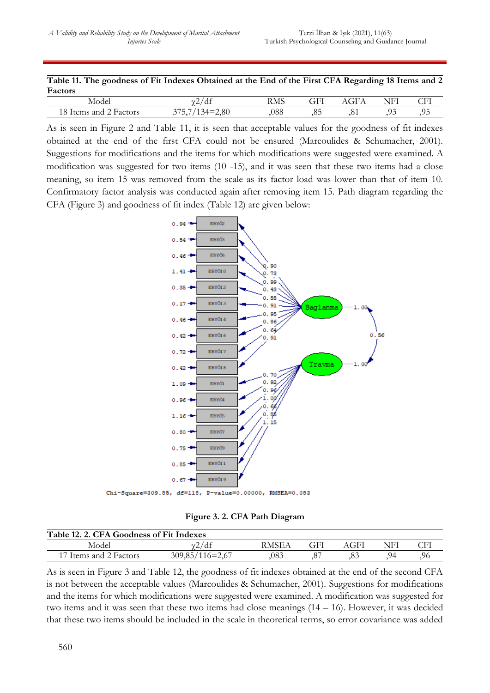|         | Table 11. The goodness of Fit Indexes Obtained at the End of the First CFA Regarding 18 Items and 2 |       |                             |  |                    |  |
|---------|-----------------------------------------------------------------------------------------------------|-------|-----------------------------|--|--------------------|--|
| Factors |                                                                                                     |       |                             |  |                    |  |
|         |                                                                                                     | 0.11c | $\mathbf{D} \mathbf{A}$ for |  | $CFT$ $ACTA$ $NFT$ |  |

| Model<br>.              | u<br>-      | <b>RMS</b><br>____ | $\cap$ $\Box$ | $\sim$<br>- 1<br>$\sim$ $\sim$ | TTIT<br>NF<br>. .<br>л. | ້ |
|-------------------------|-------------|--------------------|---------------|--------------------------------|-------------------------|---|
| Factors<br>and<br>ltems | $\sim$ $ -$ | 088                | .v.           | v.                             | <u>,</u>                | . |

As is seen in Figure 2 and Table 11, it is seen that acceptable values for the goodness of fit indexes obtained at the end of the first CFA could not be ensured (Marcoulides & Schumacher, 2001). Suggestions for modifications and the items for which modifications were suggested were examined. A modification was suggested for two items (10 -15), and it was seen that these two items had a close meaning, so item 15 was removed from the scale as its factor load was lower than that of item 10. Confirmatory factor analysis was conducted again after removing item 15. Path diagram regarding the CFA (Figure 3) and goodness of fit index (Table 12) are given below:



**Figure 3. 2. CFA Path Diagram**

| Table 12. 2. CFA Goodness of Fit Indexes |                   |       |  |      |     |     |  |  |
|------------------------------------------|-------------------|-------|--|------|-----|-----|--|--|
| Model                                    | 'dt               | RMSEA |  | AGFI | NFI |     |  |  |
| 17 Items and 2 Factors                   | $309,85/116=2,67$ | 083   |  |      | 94  | .96 |  |  |

As is seen in Figure 3 and Table 12, the goodness of fit indexes obtained at the end of the second CFA is not between the acceptable values (Marcoulides & Schumacher, 2001). Suggestions for modifications and the items for which modifications were suggested were examined. A modification was suggested for two items and it was seen that these two items had close meanings (14 – 16). However, it was decided that these two items should be included in the scale in theoretical terms, so error covariance was added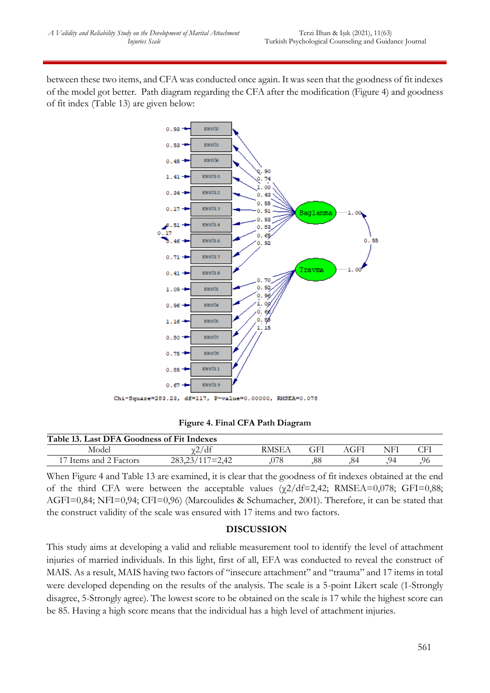between these two items, and CFA was conducted once again. It was seen that the goodness of fit indexes of the model got better. Path diagram regarding the CFA after the modification (Figure 4) and goodness of fit index (Table 13) are given below:



**Figure 4. Final CFA Path Diagram**

| Table 13. Last DFA Goodness of Fit Indexes |                   |       |    |      |     |     |  |  |
|--------------------------------------------|-------------------|-------|----|------|-----|-----|--|--|
| Model                                      | 'dt               | RMSE/ |    | AGFI | NFI |     |  |  |
| Items and 2 Factors                        | $283,23/117=2,42$ | )78   | 88 | .84  | 94  | .96 |  |  |

When Figure 4 and Table 13 are examined, it is clear that the goodness of fit indexes obtained at the end of the third CFA were between the acceptable values  $(\gamma 2/df=2,42;$  RMSEA=0,078; GFI=0,88; AGFI=0,84; NFI=0,94; CFI=0,96) (Marcoulides & Schumacher, 2001). Therefore, it can be stated that the construct validity of the scale was ensured with 17 items and two factors.

## **DISCUSSION**

This study aims at developing a valid and reliable measurement tool to identify the level of attachment injuries of married individuals. In this light, first of all, EFA was conducted to reveal the construct of MAIS. As a result, MAIS having two factors of "insecure attachment" and "trauma" and 17 items in total were developed depending on the results of the analysis. The scale is a 5-point Likert scale (1-Strongly disagree, 5-Strongly agree). The lowest score to be obtained on the scale is 17 while the highest score can be 85. Having a high score means that the individual has a high level of attachment injuries.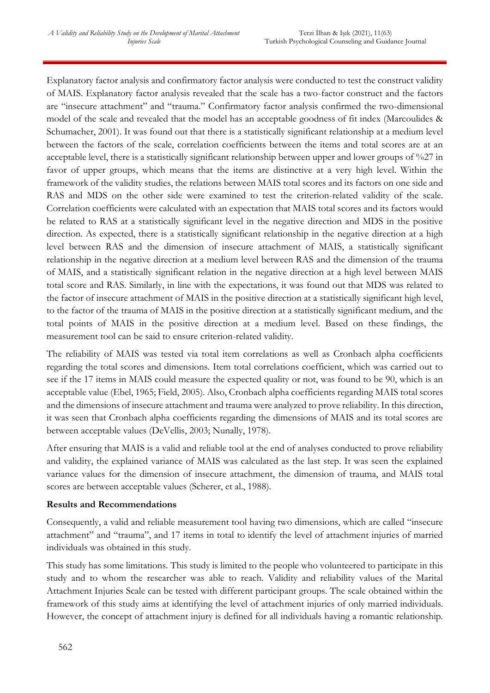Explanatory factor analysis and confirmatory factor analysis were conducted to test the construct validity of MAIS. Explanatory factor analysis revealed that the scale has a two-factor construct and the factors are "insecure attachment" and "trauma." Confirmatory factor analysis confirmed the two-dimensional model of the scale and revealed that the model has an acceptable goodness of fit index (Marcoulides & Schumacher, 2001). It was found out that there is a statistically significant relationship at a medium level between the factors of the scale, correlation coefficients between the items and total scores are at an acceptable level, there is a statistically significant relationship between upper and lower groups of %27 in favor of upper groups, which means that the items are distinctive at a very high level. Within the framework of the validity studies, the relations between MAIS total scores and its factors on one side and RAS and MDS on the other side were examined to test the criterion-related validity of the scale. Correlation coefficients were calculated with an expectation that MAIS total scores and its factors would be related to RAS at a statistically significant level in the negative direction and MDS in the positive direction. As expected, there is a statistically significant relationship in the negative direction at a high level between RAS and the dimension of insecure attachment of MAIS, a statistically significant relationship in the negative direction at a medium level between RAS and the dimension of the trauma of MAIS, and a statistically significant relation in the negative direction at a high level between MAIS total score and RAS. Similarly, in line with the expectations, it was found out that MDS was related to the factor of insecure attachment of MAIS in the positive direction at a statistically significant high level, to the factor of the trauma of MAIS in the positive direction at a statistically significant medium, and the total points of MAIS in the positive direction at a medium level. Based on these findings, the measurement tool can be said to ensure criterion-related validity.

The reliability of MAIS was tested via total item correlations as well as Cronbach alpha coefficients regarding the total scores and dimensions. Item total correlations coefficient, which was carried out to see if the 17 items in MAIS could measure the expected quality or not, was found to be 90, which is an acceptable value (Ebel, 1965; Field, 2005). Also, Cronbach alpha coefficients regarding MAIS total scores and the dimensions of insecure attachment and trauma were analyzed to prove reliability. In this direction, it was seen that Cronbach alpha coefficients regarding the dimensions of MAIS and its total scores are between acceptable values (DeVellis, 2003; Nunally, 1978).

After ensuring that MAIS is a valid and reliable tool at the end of analyses conducted to prove reliability and validity, the explained variance of MAIS was calculated as the last step. It was seen the explained variance values for the dimension of insecure attachment, the dimension of trauma, and MAIS total scores are between acceptable values (Scherer, et al., 1988).

## **Results and Recommendations**

Consequently, a valid and reliable measurement tool having two dimensions, which are called "insecure attachment" and "trauma", and 17 items in total to identify the level of attachment injuries of married individuals was obtained in this study.

This study has some limitations. This study is limited to the people who volunteered to participate in this study and to whom the researcher was able to reach. Validity and reliability values of the Marital Attachment Injuries Scale can be tested with different participant groups. The scale obtained within the framework of this study aims at identifying the level of attachment injuries of only married individuals. However, the concept of attachment injury is defined for all individuals having a romantic relationship.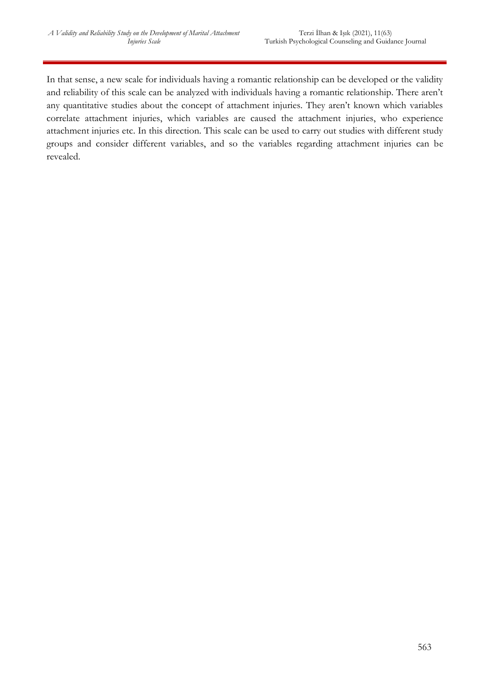In that sense, a new scale for individuals having a romantic relationship can be developed or the validity and reliability of this scale can be analyzed with individuals having a romantic relationship. There aren't any quantitative studies about the concept of attachment injuries. They aren't known which variables correlate attachment injuries, which variables are caused the attachment injuries, who experience attachment injuries etc. In this direction. This scale can be used to carry out studies with different study groups and consider different variables, and so the variables regarding attachment injuries can be revealed.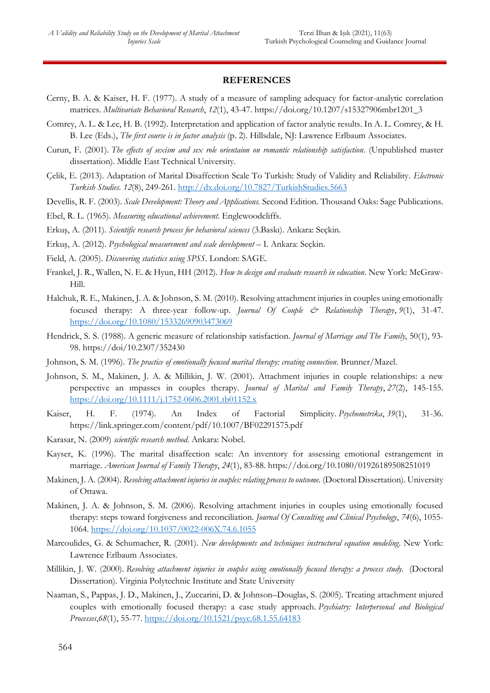#### **REFERENCES**

- Cerny, B. A. & Kaiser, H. F. (1977). A study of a measure of sampling adequacy for factor-analytic correlation matrices. *Multivariate Behavioral Research*, *12*(1), 43-47. https://doi.org/10.1207/s15327906mbr1201\_3
- Comrey, A. L. & Lee, H. B. (1992). Interpretation and application of factor analytic results. In A. L. Comrey, & H. B. Lee (Eds.), *The first course is in factor analysis* (p. 2). Hillsdale, NJ: Lawrence Erlbaum Associates.
- Curun, F. (2001). *The effects of sexism and sex role orientaion on romantic relationship satisfaction*. (Unpublished master dissertation). Middle East Technical University.
- Çelik, E. (2013). Adaptation of Marital Disaffection Scale To Turkish: Study of Validity and Reliability. *Electronic Turkish Studies. 12*(8), 249-261.<http://dx.doi.org/10.7827/TurkishStudies.5663>

Devellis, R. F. (2003). *Scale Development: Theory and Applications.* Second Edition. Thousand Oaks: Sage Publications.

Ebel, R. L. (1965). *Measuring educational achievement*. Englewoodcliffs.

- Erkuş, A. (2011). *Scientific research process for behavioral sciences* (3.Baskı). Ankara: Seçkin.
- Erkuş, A. (2012). *Psychological measurement and scale development* I. Ankara: Seçkin.
- Field, A. (2005). *Discovering statistics using SPSS*. London: SAGE.
- Frankel, J. R., Wallen, N. E. & Hyun, HH (2012). *How to design and evaluate research in education*. New York: McGraw-Hill.
- Halchuk, R. E., Makinen, J. A. & Johnson, S. M. (2010). Resolving attachment injuries in couples using emotionally focused therapy: A three-year follow-up. *Journal Of Couple & Relationship Therapy*, *9*(1), 31-47. <https://doi.org/10.1080/15332690903473069>
- Hendrick, S. S. (1988). A generic measure of relationship satisfaction. *Journal of Marriage and The Family*, 50(1), 93- 98. https://doi/10.2307/352430
- Johnson, S. M. (1996). *The practice of emotionally focused marital therapy: creating connection*. Brunner/Mazel.
- Johnson, S. M., Makinen, J. A. & Millikin, J. W. (2001). Attachment injuries in couple relationships: a new perspective an ımpasses in couples therapy. *Journal of Marital and Family Therapy*, *27*(2), 145-155. <https://doi.org/10.1111/j.1752-0606.2001.tb01152.x>
- Kaiser, H. F. (1974). An Index of Factorial Simplicity. *Psychometrika*, *39*(1), 31-36. https://link.springer.com/content/pdf/10.1007/BF02291575.pdf
- Karasar, N. (2009) *scientific research method*. Ankara: Nobel.
- Kayser, K. (1996). The marital disaffection scale: An inventory for assessing emotional estrangement in marriage. *American Journal of Family Therapy*, *24*(1), 83-88. https://doi.org/10.1080/01926189508251019
- Makinen, J. A. (2004). *Resolving attachment injuries in couples: relating process to outcome.* (Doctoral Dissertation). University of Ottawa.
- Makinen, J. A. & Johnson, S. M. (2006). Resolving attachment injuries in couples using emotionally focused therapy: steps toward forgiveness and reconciliation. *Journal Of Consulting and Clinical Psychology*, *74*(6), 1055- 1064. [https://doi.org/10.1037/0022-006X.74.6.1055](https://psycnet.apa.org/doi/10.1037/0022-006X.74.6.1055)
- Marcoulides, G. & Schumacher, R. (2001). *New developments and techniques instructural equation modeling*. New York: Lawrence Erlbaum Associates.
- Millikin, J. W. (2000). *Resolving attachment injuries in couples using emotionally focused therapy: a process study.* (Doctoral Dissertation). Virginia Polytechnic Institute and State University
- Naaman, S., Pappas, J. D., Makinen, J., Zuccarini, D. & Johnson–Douglas, S. (2005). Treating attachment ınjured couples with emotionally focused therapy: a case study approach. *Psychiatry: Interpersonal and Biological Processes*,*68*(1), 55-77.<https://doi.org/10.1521/psyc.68.1.55.64183>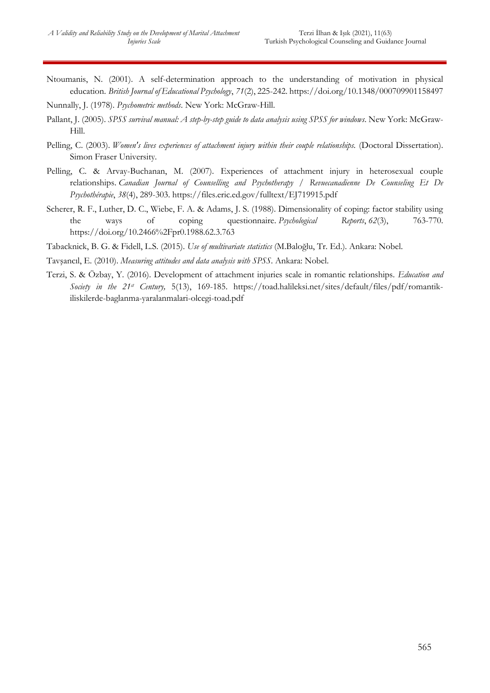Ntoumanis, N. (2001). A self-determination approach to the understanding of motivation in physical education. *British Journal of Educational Psychology*, *71*(2), 225-242. https://doi.org/10.1348/000709901158497

Nunnally, J. (1978). *Psychometric methods*. New York: McGraw-Hill.

- Pallant, J. (2005). *SPSS survival manual: A step-by-step guide to data analysis using SPSS for windows*. New York: McGraw-Hill.
- Pelling, C. (2003). *Women's lives experiences of attachment injury within their couple relationships.* (Doctoral Dissertation). Simon Fraser University.
- Pelling, C. & Arvay-Buchanan, M. (2007). Experiences of attachment injury in heterosexual couple relationships. *Canadian Journal of Counselling and Psychotherapy / Revuecanadienne De Counseling Et De Psychothérapie*, *38*(4), 289-303. https://files.eric.ed.gov/fulltext/EJ719915.pdf
- Scherer, R. F., Luther, D. C., Wiebe, F. A. & Adams, J. S. (1988). Dimensionality of coping: factor stability using the ways of coping questionnaire. *Psychological Reports*, *62*(3), 763-770. https://doi.org/10.2466%2Fpr0.1988.62.3.763
- Tabacknick, B. G. & Fidell, L.S. (2015). *Use of multivariate statistics* (M.Baloğlu, Tr. Ed.). Ankara: Nobel.

Tavşancıl, E. (2010). *Measuring attitudes and data analysis with SPSS*. Ankara: Nobel.

Terzi, S. & Özbay, Y. (2016). Development of attachment injuries scale in romantic relationships. *Education and Society in the 21st Century,* 5(13), 169-185. https://toad.halileksi.net/sites/default/files/pdf/romantikiliskilerde-baglanma-yaralanmalari-olcegi-toad.pdf